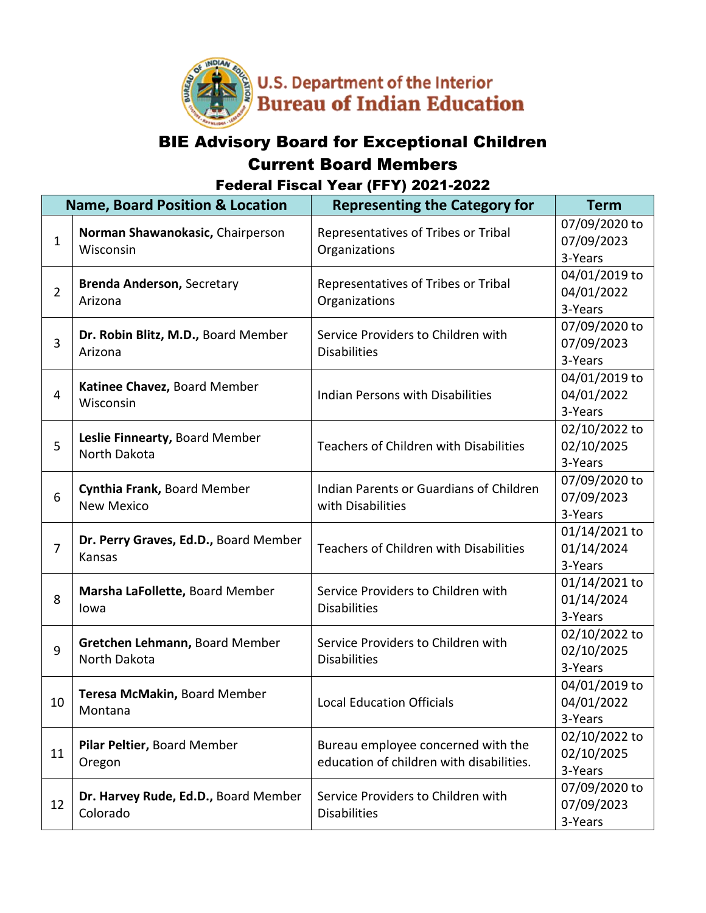

## BIE Advisory Board for Exceptional Children Current Board Members Federal Fiscal Year (FFY) 2021-2022

| <b>Name, Board Position &amp; Location</b> |                                                  | <b>Representing the Category for</b>                                           | <b>Term</b>                            |
|--------------------------------------------|--------------------------------------------------|--------------------------------------------------------------------------------|----------------------------------------|
| 1                                          | Norman Shawanokasic, Chairperson<br>Wisconsin    | Representatives of Tribes or Tribal<br>Organizations                           | 07/09/2020 to<br>07/09/2023<br>3-Years |
| $\overline{2}$                             | <b>Brenda Anderson, Secretary</b><br>Arizona     | Representatives of Tribes or Tribal<br>Organizations                           | 04/01/2019 to<br>04/01/2022<br>3-Years |
| 3                                          | Dr. Robin Blitz, M.D., Board Member<br>Arizona   | Service Providers to Children with<br><b>Disabilities</b>                      | 07/09/2020 to<br>07/09/2023<br>3-Years |
| 4                                          | Katinee Chavez, Board Member<br>Wisconsin        | <b>Indian Persons with Disabilities</b>                                        | 04/01/2019 to<br>04/01/2022<br>3-Years |
| 5                                          | Leslie Finnearty, Board Member<br>North Dakota   | <b>Teachers of Children with Disabilities</b>                                  | 02/10/2022 to<br>02/10/2025<br>3-Years |
| 6                                          | Cynthia Frank, Board Member<br><b>New Mexico</b> | Indian Parents or Guardians of Children<br>with Disabilities                   | 07/09/2020 to<br>07/09/2023<br>3-Years |
| $\overline{7}$                             | Dr. Perry Graves, Ed.D., Board Member<br>Kansas  | <b>Teachers of Children with Disabilities</b>                                  | 01/14/2021 to<br>01/14/2024<br>3-Years |
| 8                                          | Marsha LaFollette, Board Member<br>lowa          | Service Providers to Children with<br><b>Disabilities</b>                      | 01/14/2021 to<br>01/14/2024<br>3-Years |
| 9                                          | Gretchen Lehmann, Board Member<br>North Dakota   | Service Providers to Children with<br><b>Disabilities</b>                      | 02/10/2022 to<br>02/10/2025<br>3-Years |
| 10                                         | Teresa McMakin, Board Member<br>Montana          | <b>Local Education Officials</b>                                               | 04/01/2019 to<br>04/01/2022<br>3-Years |
| 11                                         | Pilar Peltier, Board Member<br>Oregon            | Bureau employee concerned with the<br>education of children with disabilities. | 02/10/2022 to<br>02/10/2025<br>3-Years |
| 12                                         | Dr. Harvey Rude, Ed.D., Board Member<br>Colorado | Service Providers to Children with<br><b>Disabilities</b>                      | 07/09/2020 to<br>07/09/2023<br>3-Years |